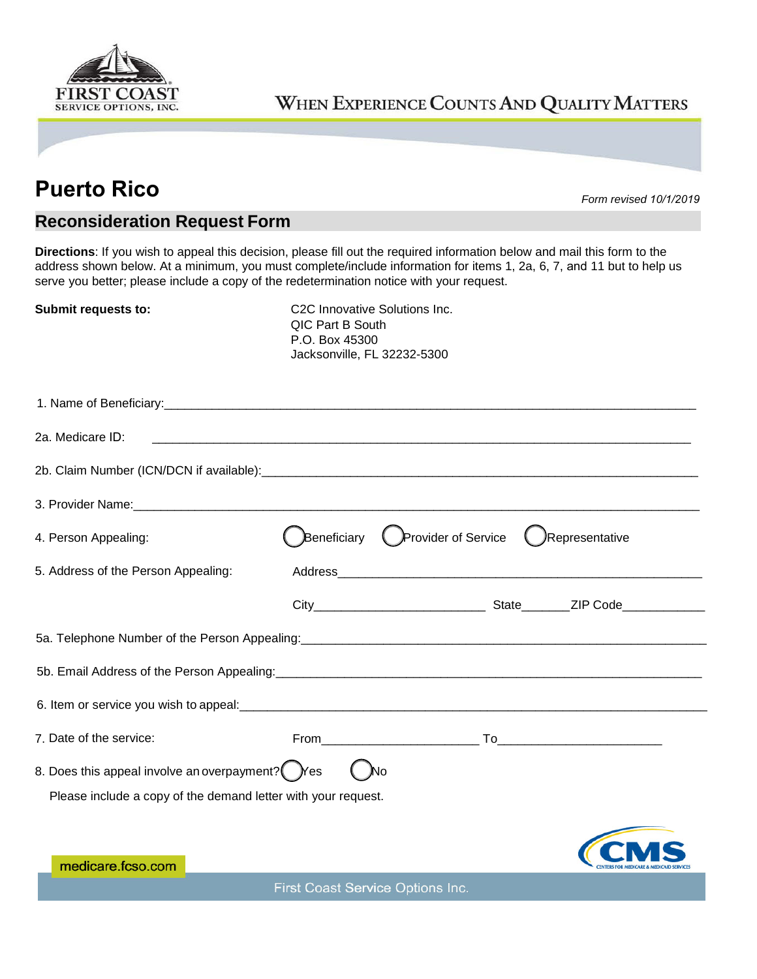

## WHEN EXPERIENCE COUNTS AND QUALITY MATTERS

## **Puerto Rico** *Form revised 10/1/2019*

## **Reconsideration Request Form**

**Directions**: If you wish to appeal this decision, please fill out the required information below and mail this form to the address shown below. At a minimum, you must complete/include information for items 1, 2a, 6, 7, and 11 but to help us serve you better; please include a copy of the redetermination notice with your request.

**Submit requests to:** C2C Innovative Solutions Inc. QIC Part B South P.O. Box 45300 Jacksonville, FL 32232-5300

| 2a. Medicare ID:                                              |                                                      |
|---------------------------------------------------------------|------------------------------------------------------|
|                                                               |                                                      |
|                                                               |                                                      |
| 4. Person Appealing:                                          | Provider of Service<br>Beneficiary<br>Representative |
| 5. Address of the Person Appealing:                           |                                                      |
|                                                               |                                                      |
|                                                               |                                                      |
|                                                               |                                                      |
|                                                               |                                                      |
| 7. Date of the service:                                       |                                                      |
| 8. Does this appeal involve an overpayment? $\bigotimes$ Yes  | Νo                                                   |
| Please include a copy of the demand letter with your request. |                                                      |
|                                                               |                                                      |
| medicare.fcso.com                                             |                                                      |
|                                                               | <b>First Coast Service Options Inc.</b>              |